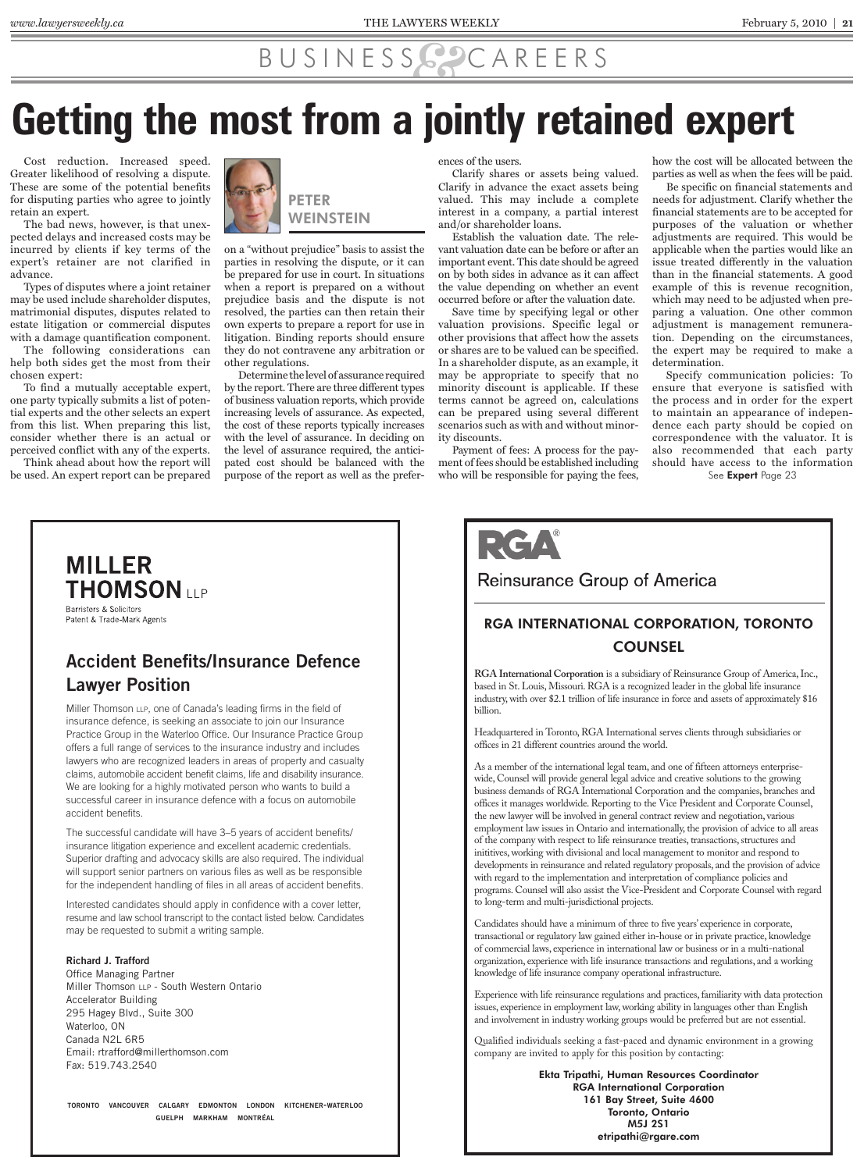## BUSINESS CAREERS

## **Getting the most from a jointly retained expert**

Cost reduction. Increased speed. Greater likelihood of resolving a dispute. These are some of the potential benefits for disputing parties who agree to jointly retain an expert.

The bad news, however, is that unexpected delays and increased costs may be incurred by clients if key terms of the expert's retainer are not clarified in advance.

Types of disputes where a joint retainer may be used include shareholder disputes, matrimonial disputes, disputes related to estate litigation or commercial disputes with a damage quantification component.

The following considerations can help both sides get the most from their chosen expert:

To find a mutually acceptable expert, one party typically submits a list of potential experts and the other selects an expert from this list. When preparing this list, consider whether there is an actual or perceived conflict with any of the experts. Think ahead about how the report will

be used. An expert report can be prepared



PETER **WEINSTEIN** 

on a "without prejudice" basis to assist the parties in resolving the dispute, or it can be prepared for use in court. In situations when a report is prepared on a without prejudice basis and the dispute is not resolved, the parties can then retain their own experts to prepare a report for use in litigation. Binding reports should ensure they do not contravene any arbitration or other regulations.

Determine the level of assurance required by the report. There are three different types of business valuation reports, which provide increasing levels of assurance. As expected, the cost of these reports typically increases with the level of assurance. In deciding on the level of assurance required, the anticipated cost should be balanced with the purpose of the report as well as the preferences of the users.

Clarify shares or assets being valued. Clarify in advance the exact assets being valued. This may include a complete interest in a company, a partial interest and/or shareholder loans.

Establish the valuation date. The relevant valuation date can be before or after an important event. This date should be agreed on by both sides in advance as it can affect the value depending on whether an event occurred before or after the valuation date.

Save time by specifying legal or other valuation provisions. Specific legal or other provisions that affect how the assets or shares are to be valued can be specified. In a shareholder dispute, as an example, it may be appropriate to specify that no minority discount is applicable. If these terms cannot be agreed on, calculations can be prepared using several different scenarios such as with and without minority discounts.

Payment of fees: A process for the payment of fees should be established including who will be responsible for paying the fees,

how the cost will be allocated between the parties as well as when the fees will be paid.

Be specific on financial statements and needs for adjustment. Clarify whether the financial statements are to be accepted for purposes of the valuation or whether adjustments are required. This would be applicable when the parties would like an issue treated differently in the valuation than in the financial statements. A good example of this is revenue recognition, which may need to be adjusted when preparing a valuation. One other common adjustment is management remuneration. Depending on the circumstances, the expert may be required to make a determination.

Specify communication policies: To ensure that everyone is satisfied with the process and in order for the expert to maintain an appearance of independence each party should be copied on correspondence with the valuator. It is also recommended that each party should have access to the information

See **Expert** Page 23

## RCA

### Reinsurance Group of America

### RGA INTERNATIONAL CORPORATION, TORONTO **COUNSEL**

**RGA International Corporation** is a subsidiary of Reinsurance Group of America, Inc., based in St. Louis, Missouri. RGA is a recognized leader in the global life insurance industry, with over \$2.1 trillion of life insurance in force and assets of approximately \$16 billion.

Headquartered in Toronto, RGA International serves clients through subsidiaries or offices in 21 different countries around the world.

As a member of the international legal team, and one of fifteen attorneys enterprisewide, Counsel will provide general legal advice and creative solutions to the growing business demands of RGA International Corporation and the companies, branches and offices it manages worldwide. Reporting to the Vice President and Corporate Counsel, the new lawyer will be involved in general contract review and negotiation, various employment law issues in Ontario and internationally, the provision of advice to all areas of the company with respect to life reinsurance treaties, transactions, structures and inititives, working with divisional and local management to monitor and respond to developments in reinsurance and related regulatory proposals, and the provision of advice with regard to the implementation and interpretation of compliance policies and programs. Counsel will also assist the Vice-President and Corporate Counsel with regard to long-term and multi-jurisdictional projects.

Candidates should have a minimum of three to five years' experience in corporate, transactional or regulatory law gained either in-house or in private practice, knowledge of commercial laws, experience in international law or business or in a multi-national organization, experience with life insurance transactions and regulations, and a working knowledge of life insurance company operational infrastructure.

Experience with life reinsurance regulations and practices, familiarity with data protection issues, experience in employment law, working ability in languages other than English and involvement in industry working groups would be preferred but are not essential.

Qualified individuals seeking a fast-paced and dynamic environment in a growing company are invited to apply for this position by contacting:

> Ekta Tripathi, Human Resources Coordinator RGA International Corporation 161 Bay Street, Suite 4600 Toronto, Ontario M5J 2S1 etripathi@rgare.com

### **MILLER THOMSON ITP** Barristers & Solicitors

Patent & Trade-Mark Agents

### **Accident Benefits/Insurance Defence Lawyer Position**

Miller Thomson LLP, one of Canada's leading firms in the field of insurance defence, is seeking an associate to join our Insurance Practice Group in the Waterloo Office. Our Insurance Practice Group offers a full range of services to the insurance industry and includes lawyers who are recognized leaders in areas of property and casualty claims, automobile accident benefit claims, life and disability insurance. We are looking for a highly motivated person who wants to build a successful career in insurance defence with a focus on automobile accident benefits.

The successful candidate will have 3-5 years of accident benefits/ insurance litigation experience and excellent academic credentials. Superior drafting and advocacy skills are also required. The individual will support senior partners on various files as well as be responsible for the independent handling of files in all areas of accident benefits.

Interested candidates should apply in confidence with a cover letter, resume and law school transcript to the contact listed below. Candidates may be requested to submit a writing sample.

### **Richard J. Trafford**

Office Managing Partner Miller Thomson LLP - South Western Ontario Accelerator Building 295 Hagey Blvd., Suite 300 Waterloo, ON Canada N2L 6R5 Email: rtrafford@millerthomson.com Fax: 519.743.2540

TORONTO VANCOUVER CALGARY EDMONTON LONDON KITCHENER-WATERLOO **GUELPH MARKHAM MONTRÉAL**